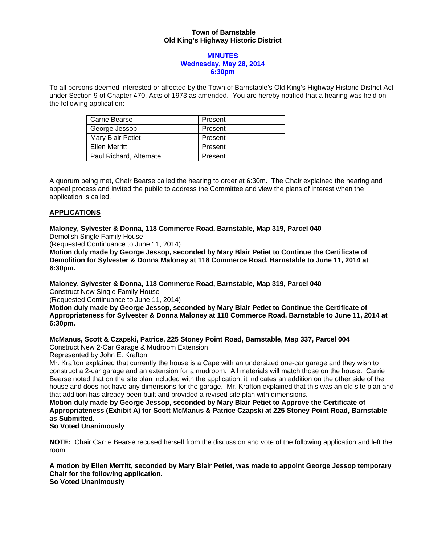## **Town of Barnstable Old King's Highway Historic District**

### **MINUTES Wednesday, May 28, 2014 6:30pm**

To all persons deemed interested or affected by the Town of Barnstable's Old King's Highway Historic District Act under Section 9 of Chapter 470, Acts of 1973 as amended. You are hereby notified that a hearing was held on the following application:

| Carrie Bearse           | Present |
|-------------------------|---------|
| George Jessop           | Present |
| Mary Blair Petiet       | Present |
| <b>Ellen Merritt</b>    | Present |
| Paul Richard, Alternate | Present |

A quorum being met, Chair Bearse called the hearing to order at 6:30m. The Chair explained the hearing and appeal process and invited the public to address the Committee and view the plans of interest when the application is called.

## **APPLICATIONS**

**Maloney, Sylvester & Donna, 118 Commerce Road, Barnstable, Map 319, Parcel 040**  Demolish Single Family House

(Requested Continuance to June 11, 2014)

**Motion duly made by George Jessop, seconded by Mary Blair Petiet to Continue the Certificate of Demolition for Sylvester & Donna Maloney at 118 Commerce Road, Barnstable to June 11, 2014 at 6:30pm.** 

**Maloney, Sylvester & Donna, 118 Commerce Road, Barnstable, Map 319, Parcel 040**  Construct New Single Family House

(Requested Continuance to June 11, 2014)

**Motion duly made by George Jessop, seconded by Mary Blair Petiet to Continue the Certificate of Appropriateness for Sylvester & Donna Maloney at 118 Commerce Road, Barnstable to June 11, 2014 at 6:30pm.** 

# **McManus, Scott & Czapski, Patrice, 225 Stoney Point Road, Barnstable, Map 337, Parcel 004**

Construct New 2-Car Garage & Mudroom Extension

Represented by John E. Krafton

Mr. Krafton explained that currently the house is a Cape with an undersized one-car garage and they wish to construct a 2-car garage and an extension for a mudroom. All materials will match those on the house. Carrie Bearse noted that on the site plan included with the application, it indicates an addition on the other side of the house and does not have any dimensions for the garage. Mr. Krafton explained that this was an old site plan and that addition has already been built and provided a revised site plan with dimensions.

**Motion duly made by George Jessop, seconded by Mary Blair Petiet to Approve the Certificate of Appropriateness (Exhibit A) for Scott McManus & Patrice Czapski at 225 Stoney Point Road, Barnstable as Submitted.** 

## **So Voted Unanimously**

**NOTE:** Chair Carrie Bearse recused herself from the discussion and vote of the following application and left the room.

**A motion by Ellen Merritt, seconded by Mary Blair Petiet, was made to appoint George Jessop temporary Chair for the following application. So Voted Unanimously**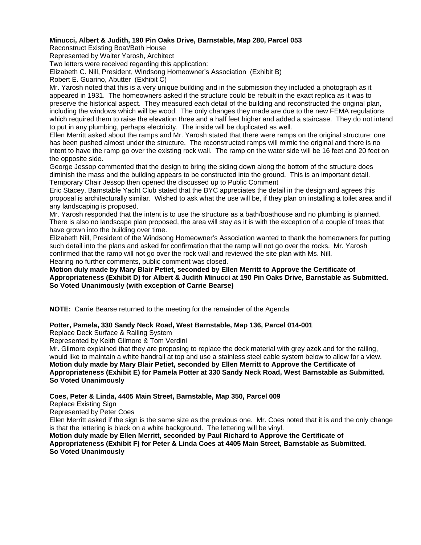## **Minucci, Albert & Judith, 190 Pin Oaks Drive, Barnstable, Map 280, Parcel 053**

Reconstruct Existing Boat/Bath House

Represented by Walter Yarosh, Architect

Two letters were received regarding this application:

Elizabeth C. Nill, President, Windsong Homeowner's Association (Exhibit B)

Robert E. Guarino, Abutter (Exhibit C)

Mr. Yarosh noted that this is a very unique building and in the submission they included a photograph as it appeared in 1931. The homeowners asked if the structure could be rebuilt in the exact replica as it was to preserve the historical aspect. They measured each detail of the building and reconstructed the original plan, including the windows which will be wood. The only changes they made are due to the new FEMA regulations which required them to raise the elevation three and a half feet higher and added a staircase. They do not intend to put in any plumbing, perhaps electricity. The inside will be duplicated as well.

Ellen Merritt asked about the ramps and Mr. Yarosh stated that there were ramps on the original structure; one has been pushed almost under the structure. The reconstructed ramps will mimic the original and there is no intent to have the ramp go over the existing rock wall. The ramp on the water side will be 16 feet and 20 feet on the opposite side.

George Jessop commented that the design to bring the siding down along the bottom of the structure does diminish the mass and the building appears to be constructed into the ground. This is an important detail. Temporary Chair Jessop then opened the discussed up to Public Comment

Eric Stacey, Barnstable Yacht Club stated that the BYC appreciates the detail in the design and agrees this proposal is architecturally similar. Wished to ask what the use will be, if they plan on installing a toilet area and if any landscaping is proposed.

Mr. Yarosh responded that the intent is to use the structure as a bath/boathouse and no plumbing is planned. There is also no landscape plan proposed, the area will stay as it is with the exception of a couple of trees that have grown into the building over time.

Elizabeth Nill, President of the Windsong Homeowner's Association wanted to thank the homeowners for putting such detail into the plans and asked for confirmation that the ramp will not go over the rocks. Mr. Yarosh confirmed that the ramp will not go over the rock wall and reviewed the site plan with Ms. Nill. Hearing no further comments, public comment was closed.

**Motion duly made by Mary Blair Petiet, seconded by Ellen Merritt to Approve the Certificate of Appropriateness (Exhibit D) for Albert & Judith Minucci at 190 Pin Oaks Drive, Barnstable as Submitted. So Voted Unanimously (with exception of Carrie Bearse)** 

**NOTE:** Carrie Bearse returned to the meeting for the remainder of the Agenda

### **Potter, Pamela, 330 Sandy Neck Road, West Barnstable, Map 136, Parcel 014-001**

Replace Deck Surface & Railing System

Represented by Keith Gilmore & Tom Verdini

Mr. Gilmore explained that they are proposing to replace the deck material with grey azek and for the railing, would like to maintain a white handrail at top and use a stainless steel cable system below to allow for a view. **Motion duly made by Mary Blair Petiet, seconded by Ellen Merritt to Approve the Certificate of Appropriateness (Exhibit E) for Pamela Potter at 330 Sandy Neck Road, West Barnstable as Submitted. So Voted Unanimously** 

**Coes, Peter & Linda, 4405 Main Street, Barnstable, Map 350, Parcel 009** 

Replace Existing Sign

Represented by Peter Coes

Ellen Merritt asked if the sign is the same size as the previous one. Mr. Coes noted that it is and the only change is that the lettering is black on a white background. The lettering will be vinyl.

**Motion duly made by Ellen Merritt, seconded by Paul Richard to Approve the Certificate of Appropriateness (Exhibit F) for Peter & Linda Coes at 4405 Main Street, Barnstable as Submitted. So Voted Unanimously**